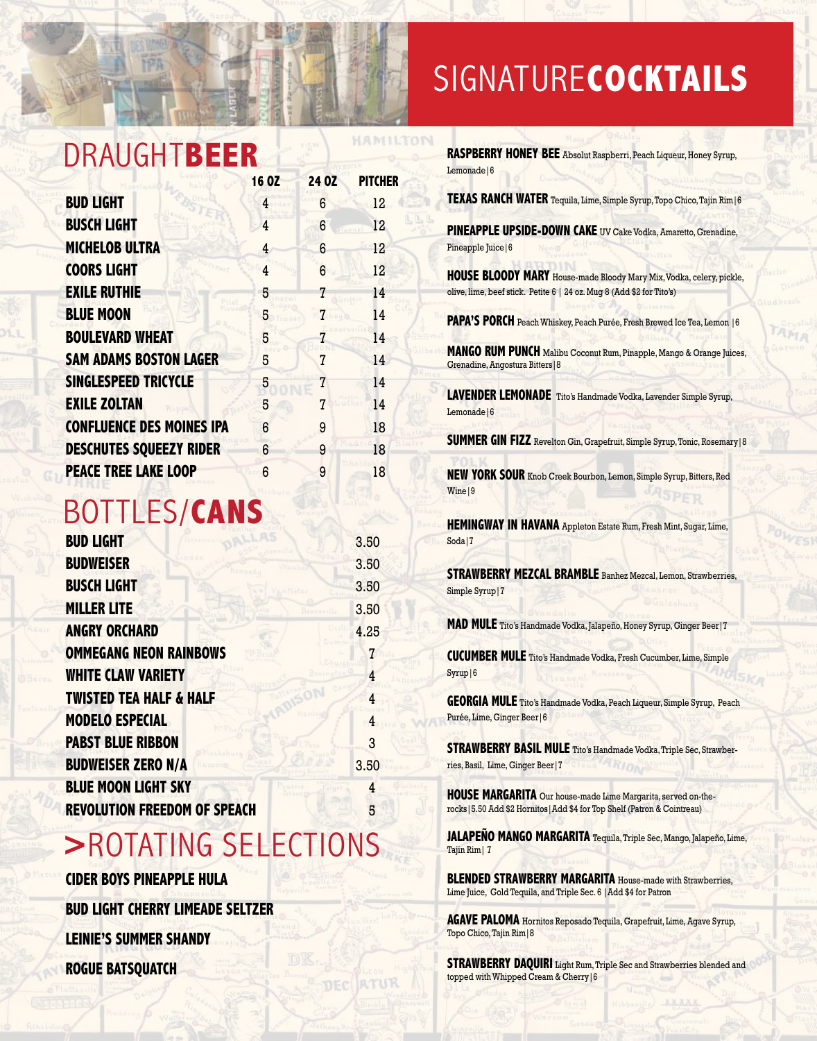## DRAUGHT**BEER**

|                                  | 16 OZ | 24 OZ | <b>PITCHER</b> |
|----------------------------------|-------|-------|----------------|
| <b>BUD LIGHT</b>                 | 4     | 6     | 12             |
| <b>BUSCH LIGHT</b>               | 4     | 6     | 12             |
| <b>MICHELOB ULTRA</b>            | 4     | 6     | 12             |
| <b>COORS LIGHT</b>               | 4     | 6     | 12             |
| <b>EXILE RUTHIE</b>              | 5     | 7     | 14             |
| <b>BLUE MOON</b>                 | 5     | 7     | 14             |
| <b>BOULEVARD WHEAT</b>           | 5     |       | 14             |
| <b>SAM ADAMS BOSTON LAGER</b>    | 5     | 7     | 14             |
| SINGLESPEED TRICYCLE             | 5     | 7     | 14             |
| <b>EXILE ZOLTAN</b>              | 5     | 7     | 14             |
| <b>CONFLUENCE DES MOINES IPA</b> | 6     | 9     | 18             |
| <b>DESCHUTES SQUEEZY RIDER</b>   | 6     | 9     | 18             |
| <b>PEACE TREE LAKE LOOP</b>      | 6     | 9     | 18             |

HAMILTON

## BOTTLES/**CANS**

| <b>BUD LIGHT</b>                    | 3.50 |
|-------------------------------------|------|
| <b>BUDWEISER</b>                    | 3.50 |
| <b>BUSCH LIGHT</b>                  | 3.50 |
| <b>MILLER LITE</b>                  | 3.50 |
| <b>ANGRY ORCHARD</b>                | 4.25 |
| <b>OMMEGANG NEON RAINBOWS</b>       | 7    |
| <b>WHITE CLAW VARIETY</b>           | 4    |
| <b>TWISTED TEA HALF &amp; HALF</b>  | 4    |
| <b>MODELO ESPECIAL</b>              | 4    |
| <b>PABST BLUE RIBBON</b>            | 3    |
| <b>BUDWEISER ZERO N/A</b>           | 3.50 |
| <b>BLUE MOON LIGHT SKY</b>          | 4    |
| <b>REVOLUTION FREEDOM OF SPEACH</b> | 5    |

## **>**ROTATING SELECTIONS

**CIDER BOYS PINEAPPLE HULA BUD LIGHT CHERRY LIMEADE SELTZER LEINIE'S SUMMER SHANDY ROGUE BATSQUATCH**

## SIGNATURE**COCKTAILS**

| RASPBERRY HONEY BEE Absolut Raspberri, Peach Liqueur, Honey Syrup,<br>Lemonade   6                                                                   |
|------------------------------------------------------------------------------------------------------------------------------------------------------|
| TEXAS RANCH WATER Tequila, Lime, Simple Syrup, Topo Chico, Tajin Rim   6                                                                             |
| PINEAPPLE UPSIDE-DOWN CAKE UV Cake Vodka, Amaretto, Grenadine,<br>Pineapple Juice   6                                                                |
| <b>HOUSE BLOODY MARY</b> House-made Bloody Mary Mix, Vodka, celery, pickle,<br>olive, lime, beef stick. Petite 6   24 oz. Mug 8 (Add \$2 for Tito's) |
| PAPA'S PORCH Peach Whiskey, Peach Purée, Fresh Brewed Ice Tea, Lemon   6                                                                             |
| MANGO RUM PUNCH Malibu Coconut Rum, Pinapple, Mango & Orange Juices,<br>Grenadine, Angostura Bitters   8                                             |
| LAVENDER LEMONADE Tito's Handmade Vodka, Lavender Simple Syrup,<br>Lemonade <sup>16</sup>                                                            |
| SUMMER GIN FIZZ Revelton Gin, Grapefruit, Simple Syrup, Tonic, Rosemary   8                                                                          |
| NEW YORK SOUR Knob Creek Bourbon, Lemon, Simple Syrup, Bitters, Red<br>Wine 9                                                                        |
| <b>HEMINGWAY IN HAVANA</b> Appleton Estate Rum, Fresh Mint, Sugar, Lime,<br>Soda 7                                                                   |
| <b>STRAWBERRY MEZCAL BRAMBLE</b> Banhez Mezcal, Lemon, Strawberries,<br>Simple Syrup   7                                                             |
| MAD MULE Tito's Handmade Vodka, Jalapeño, Honey Syrup, Ginger Beer   7                                                                               |
| <b>CUCUMBER MULE</b> Tito's Handmade Vodka, Fresh Cucumber, Lime, Simple<br>Syrup 6                                                                  |
| GEORGIA MULE Tito's Handmade Vodka, Peach Liqueur, Simple Syrup, Peach<br>Purée, Lime, Ginger Beer   6                                               |
| STRAWBERRY BASIL MULE Tito's Handmade Vodka, Triple Sec, Strawber-<br>ries, Basil, Lime, Ginger Beer   7                                             |
| HOUSE MARGARITA Our house-made Lime Margarita, served on-the-<br>rocks   5.50 Add \$2 Hornitos   Add \$4 for Top Shelf (Patron & Cointreau)          |
| JALAPEÑO MANGO MARGARITA Tequila, Triple Sec, Mango, Jalapeño, Lime,<br>Tajin Rim   7                                                                |
| <b>BLENDED STRAWBERRY MARGARITA House-made with Strawberries,</b><br>Lime Juice, Gold Tequila, and Triple Sec. 6   Add \$4 for Patron                |
| AGAVE PALOMA Hornitos Reposado Tequila, Grapefruit, Lime, Agave Syrup,<br>Topo Chico, Tajin Rim   8                                                  |
| <b>STRAWBERRY DAQUIRI</b> Light Rum, Triple Sec and Strawberries blended and                                                                         |

topped with Whipped Cream & Cherry|6